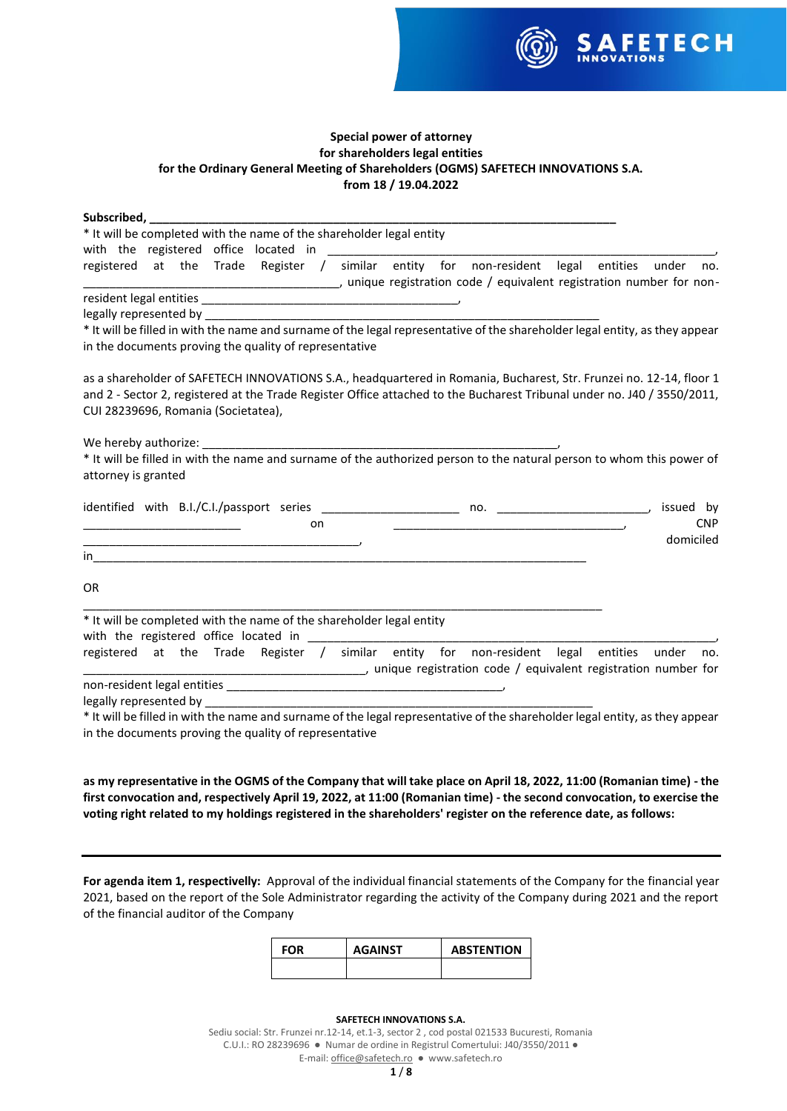

# **Special power of attorney for shareholders legal entities for the Ordinary General Meeting of Shareholders (OGMS) SAFETECH INNOVATIONS S.A. from 18 / 19.04.2022**

| Subscribed, <b>Subscribed</b>                                                                                                                                                          |
|----------------------------------------------------------------------------------------------------------------------------------------------------------------------------------------|
| * It will be completed with the name of the shareholder legal entity                                                                                                                   |
| with the registered office located in                                                                                                                                                  |
| no.                                                                                                                                                                                    |
|                                                                                                                                                                                        |
|                                                                                                                                                                                        |
| * It will be filled in with the name and surname of the legal representative of the shareholder legal entity, as they appear<br>in the documents proving the quality of representative |
| as a shareholder of SAFETECH INNOVATIONS S.A., headquartered in Romania, Bucharest, Str. Frunzei no. 12-14, floor 1                                                                    |
| and 2 - Sector 2, registered at the Trade Register Office attached to the Bucharest Tribunal under no. J40 / 3550/2011,                                                                |
| CUI 28239696, Romania (Societatea),                                                                                                                                                    |
|                                                                                                                                                                                        |
| We hereby authorize:                                                                                                                                                                   |
| * It will be filled in with the name and surname of the authorized person to the natural person to whom this power of                                                                  |
| attorney is granted                                                                                                                                                                    |
| issued by<br><b>CNP</b><br>on.                                                                                                                                                         |
| domiciled                                                                                                                                                                              |
| in.                                                                                                                                                                                    |
| OR.                                                                                                                                                                                    |
| * It will be completed with the name of the shareholder legal entity                                                                                                                   |
|                                                                                                                                                                                        |
| registered at the Trade Register / similar entity for non-resident legal entities<br>under<br>no.<br>imique registration code / equivalent registration number for                     |
|                                                                                                                                                                                        |
|                                                                                                                                                                                        |
| * It will be filled in with the name and surname of the legal representative of the shareholder legal entity, as they appear                                                           |
| in the documents proving the quality of representative                                                                                                                                 |

**as my representative in the OGMS of the Company that will take place on April 18, 2022, 11:00 (Romanian time) - the first convocation and, respectively April 19, 2022, at 11:00 (Romanian time) - the second convocation, to exercise the voting right related to my holdings registered in the shareholders' register on the reference date, as follows:**

**For agenda item 1, respectivelly:** Approval of the individual financial statements of the Company for the financial year 2021, based on the report of the Sole Administrator regarding the activity of the Company during 2021 and the report of the financial auditor of the Company

| FOR | <b>AGAINST</b> | <b>ABSTENTION</b> |
|-----|----------------|-------------------|
|     |                |                   |

### **SAFETECH INNOVATIONS S.A.**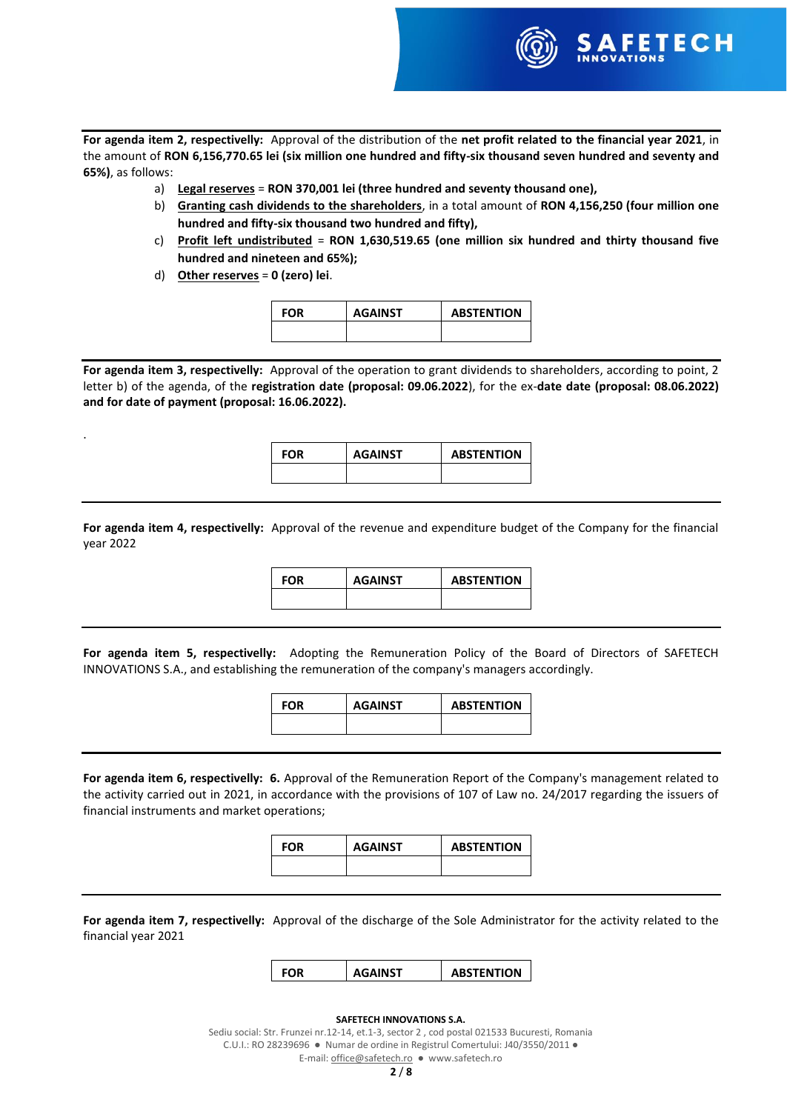

**For agenda item 2, respectivelly:** Approval of the distribution of the **net profit related to the financial year 2021**, in the amount of **RON 6,156,770.65 lei (six million one hundred and fifty-six thousand seven hundred and seventy and 65%)**, as follows:

- a) **Legal reserves** = **RON 370,001 lei (three hundred and seventy thousand one),**
- b) **Granting cash dividends to the shareholders**, in a total amount of **RON 4,156,250 (four million one hundred and fifty-six thousand two hundred and fifty),**
- c) **Profit left undistributed** = **RON 1,630,519.65 (one million six hundred and thirty thousand five hundred and nineteen and 65%);**
- d) **Other reserves** = **0 (zero) lei**.

.

| <b>FOR</b> | <b>AGAINST</b> | <b>ABSTENTION</b> |
|------------|----------------|-------------------|
|            |                |                   |

**For agenda item 3, respectivelly:** Approval of the operation to grant dividends to shareholders, according to point, 2 letter b) of the agenda, of the **registration date (proposal: 09.06.2022**), for the ex-**date date (proposal: 08.06.2022) and for date of payment (proposal: 16.06.2022).**

**FOR AGAINST ABSTENTION**

**For agenda item 4, respectivelly:** Approval of the revenue and expenditure budget of the Company for the financial year 2022

**FOR AGAINST ABSTENTION**

**For agenda item 5, respectivelly:** Adopting the Remuneration Policy of the Board of Directors of SAFETECH INNOVATIONS S.A., and establishing the remuneration of the company's managers accordingly.

| FOR | <b>AGAINST</b> | <b>ABSTENTION</b> |
|-----|----------------|-------------------|
|     |                |                   |

**For agenda item 6, respectivelly: 6.** Approval of the Remuneration Report of the Company's management related to the activity carried out in 2021, in accordance with the provisions of 107 of Law no. 24/2017 regarding the issuers of financial instruments and market operations;

| FOR | <b>AGAINST</b> | <b>ABSTENTION</b> |
|-----|----------------|-------------------|
|     |                |                   |

**For agenda item 7, respectivelly:** Approval of the discharge of the Sole Administrator for the activity related to the financial year 2021

**FOR AGAINST ABSTENTION**

### **SAFETECH INNOVATIONS S.A.**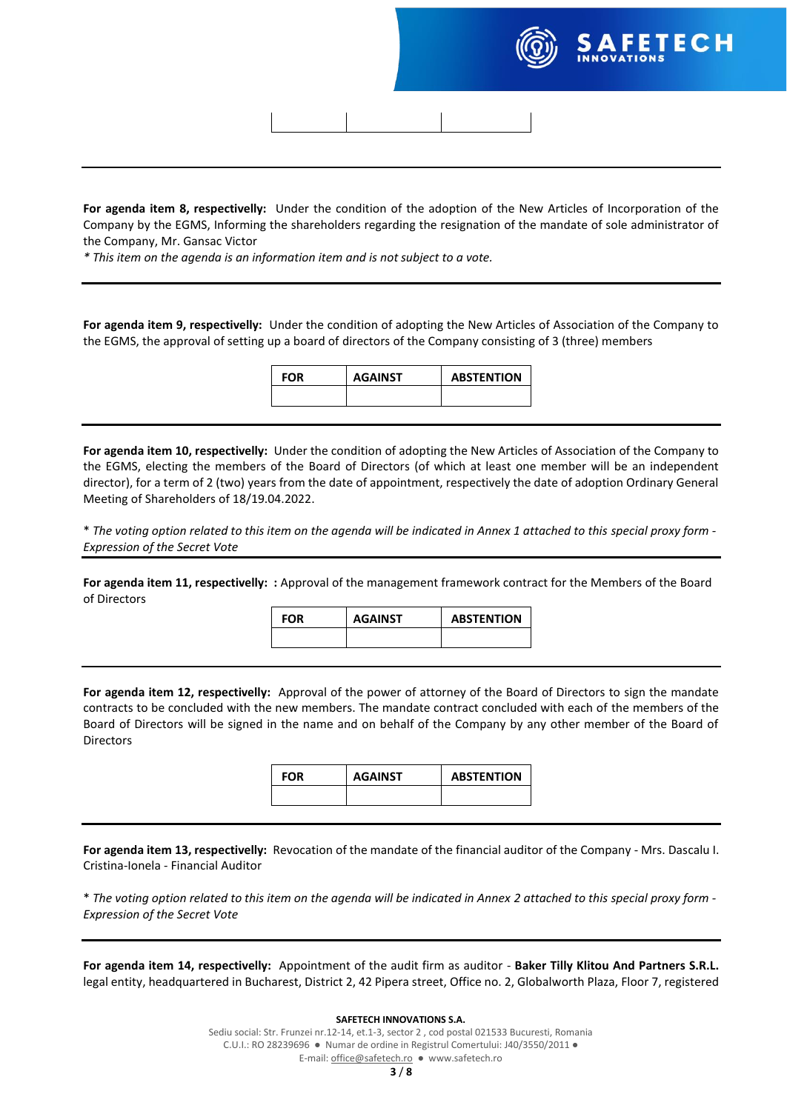

**For agenda item 8, respectivelly:** Under the condition of the adoption of the New Articles of Incorporation of the Company by the EGMS, Informing the shareholders regarding the resignation of the mandate of sole administrator of the Company, Mr. Gansac Victor

*\* This item on the agenda is an information item and is not subject to a vote.*

**For agenda item 9, respectivelly:** Under the condition of adopting the New Articles of Association of the Company to the EGMS, the approval of setting up a board of directors of the Company consisting of 3 (three) members

| FOR | <b>AGAINST</b> | <b>ABSTENTION</b> |
|-----|----------------|-------------------|
|     |                |                   |

**For agenda item 10, respectivelly:** Under the condition of adopting the New Articles of Association of the Company to the EGMS, electing the members of the Board of Directors (of which at least one member will be an independent director), for a term of 2 (two) years from the date of appointment, respectively the date of adoption Ordinary General Meeting of Shareholders of 18/19.04.2022.

\* *The voting option related to this item on the agenda will be indicated in Annex 1 attached to this special proxy form - Expression of the Secret Vote*

**For agenda item 11, respectivelly: :** Approval of the management framework contract for the Members of the Board of Directors

**FOR AGAINST ABSTENTION**

**For agenda item 12, respectivelly:** Approval of the power of attorney of the Board of Directors to sign the mandate contracts to be concluded with the new members. The mandate contract concluded with each of the members of the Board of Directors will be signed in the name and on behalf of the Company by any other member of the Board of Directors

| <b>FOR</b> | <b>AGAINST</b> | <b>ABSTENTION</b> |
|------------|----------------|-------------------|
|            |                |                   |

**For agenda item 13, respectivelly:** Revocation of the mandate of the financial auditor of the Company - Mrs. Dascalu I. Cristina-Ionela - Financial Auditor

\* *The voting option related to this item on the agenda will be indicated in Annex 2 attached to this special proxy form - Expression of the Secret Vote*

**For agenda item 14, respectivelly:** Appointment of the audit firm as auditor - **Baker Tilly Klitou And Partners S.R.L.** legal entity, headquartered in Bucharest, District 2, 42 Pipera street, Office no. 2, Globalworth Plaza, Floor 7, registered

### **SAFETECH INNOVATIONS S.A.**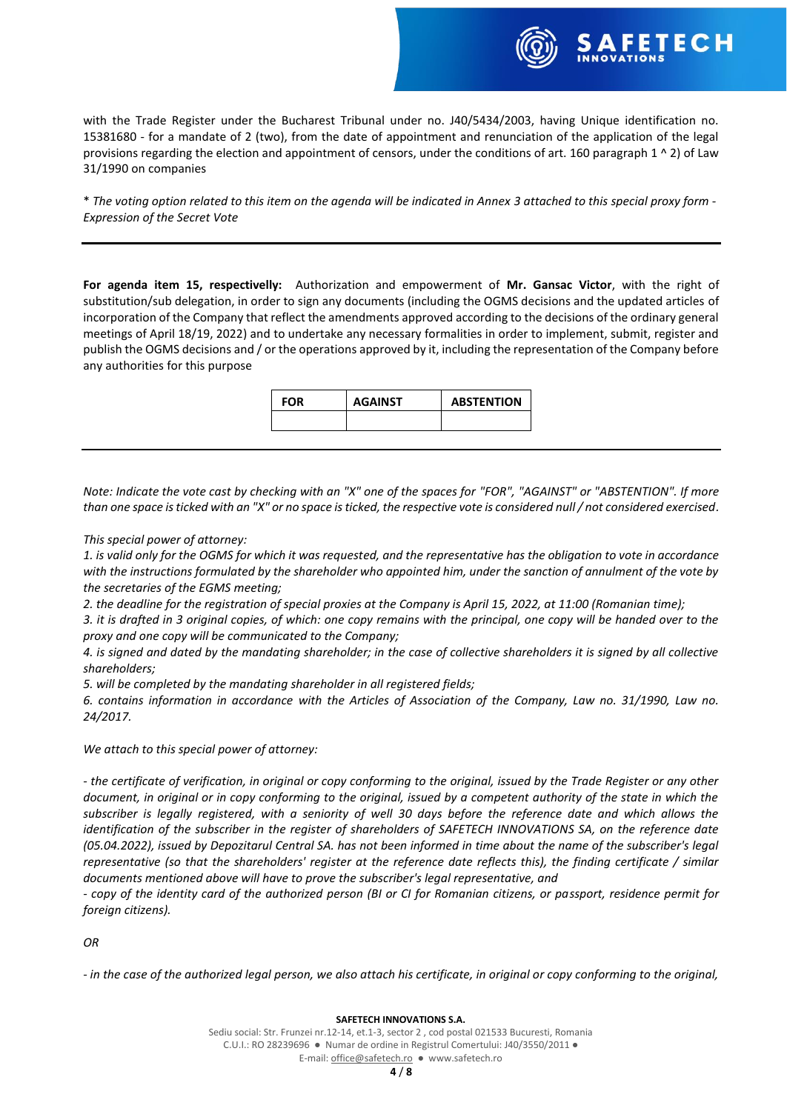with the Trade Register under the Bucharest Tribunal under no. J40/5434/2003, having Unique identification no. 15381680 - for a mandate of 2 (two), from the date of appointment and renunciation of the application of the legal provisions regarding the election and appointment of censors, under the conditions of art. 160 paragraph 1 ^ 2) of Law 31/1990 on companies

\* *The voting option related to this item on the agenda will be indicated in Annex 3 attached to this special proxy form - Expression of the Secret Vote*

**For agenda item 15, respectivelly:** Authorization and empowerment of **Mr. Gansac Victor**, with the right of substitution/sub delegation, in order to sign any documents (including the OGMS decisions and the updated articles of incorporation of the Company that reflect the amendments approved according to the decisions of the ordinary general meetings of April 18/19, 2022) and to undertake any necessary formalities in order to implement, submit, register and publish the OGMS decisions and / or the operations approved by it, including the representation of the Company before any authorities for this purpose

| <b>FOR</b> | <b>AGAINST</b> | <b>ABSTENTION</b> |
|------------|----------------|-------------------|
|            |                |                   |

*Note: Indicate the vote cast by checking with an "X" one of the spaces for "FOR", "AGAINST" or "ABSTENTION". If more than one space is ticked with an "X" or no space is ticked, the respective vote is considered null / not considered exercised.*

### *This special power of attorney:*

*1. is valid only for the OGMS for which it was requested, and the representative has the obligation to vote in accordance with the instructions formulated by the shareholder who appointed him, under the sanction of annulment of the vote by the secretaries of the EGMS meeting;*

*2. the deadline for the registration of special proxies at the Company is April 15, 2022, at 11:00 (Romanian time);*

*3. it is drafted in 3 original copies, of which: one copy remains with the principal, one copy will be handed over to the proxy and one copy will be communicated to the Company;*

*4. is signed and dated by the mandating shareholder; in the case of collective shareholders it is signed by all collective shareholders;*

*5. will be completed by the mandating shareholder in all registered fields;*

*6. contains information in accordance with the Articles of Association of the Company, Law no. 31/1990, Law no. 24/2017.*

*We attach to this special power of attorney:*

*- the certificate of verification, in original or copy conforming to the original, issued by the Trade Register or any other document, in original or in copy conforming to the original, issued by a competent authority of the state in which the subscriber is legally registered, with a seniority of well 30 days before the reference date and which allows the identification of the subscriber in the register of shareholders of SAFETECH INNOVATIONS SA, on the reference date (05.04.2022), issued by Depozitarul Central SA. has not been informed in time about the name of the subscriber's legal representative (so that the shareholders' register at the reference date reflects this), the finding certificate / similar documents mentioned above will have to prove the subscriber's legal representative, and*

*- copy of the identity card of the authorized person (BI or CI for Romanian citizens, or passport, residence permit for foreign citizens).*

*OR*

*- in the case of the authorized legal person, we also attach his certificate, in original or copy conforming to the original,*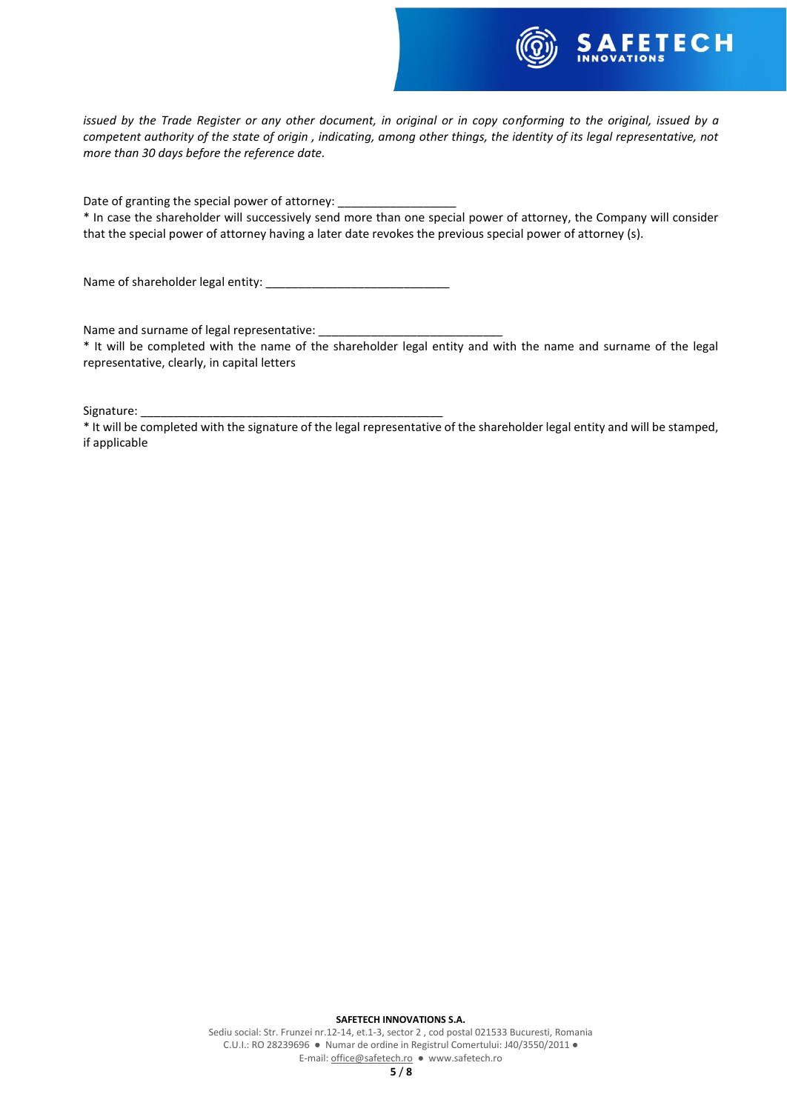

*issued by the Trade Register or any other document, in original or in copy conforming to the original, issued by a competent authority of the state of origin , indicating, among other things, the identity of its legal representative, not more than 30 days before the reference date.*

Date of granting the special power of attorney:

\* In case the shareholder will successively send more than one special power of attorney, the Company will consider that the special power of attorney having a later date revokes the previous special power of attorney (s).

Name of shareholder legal entity:

Name and surname of legal representative:

\* It will be completed with the name of the shareholder legal entity and with the name and surname of the legal representative, clearly, in capital letters

Signature:

\* It will be completed with the signature of the legal representative of the shareholder legal entity and will be stamped, if applicable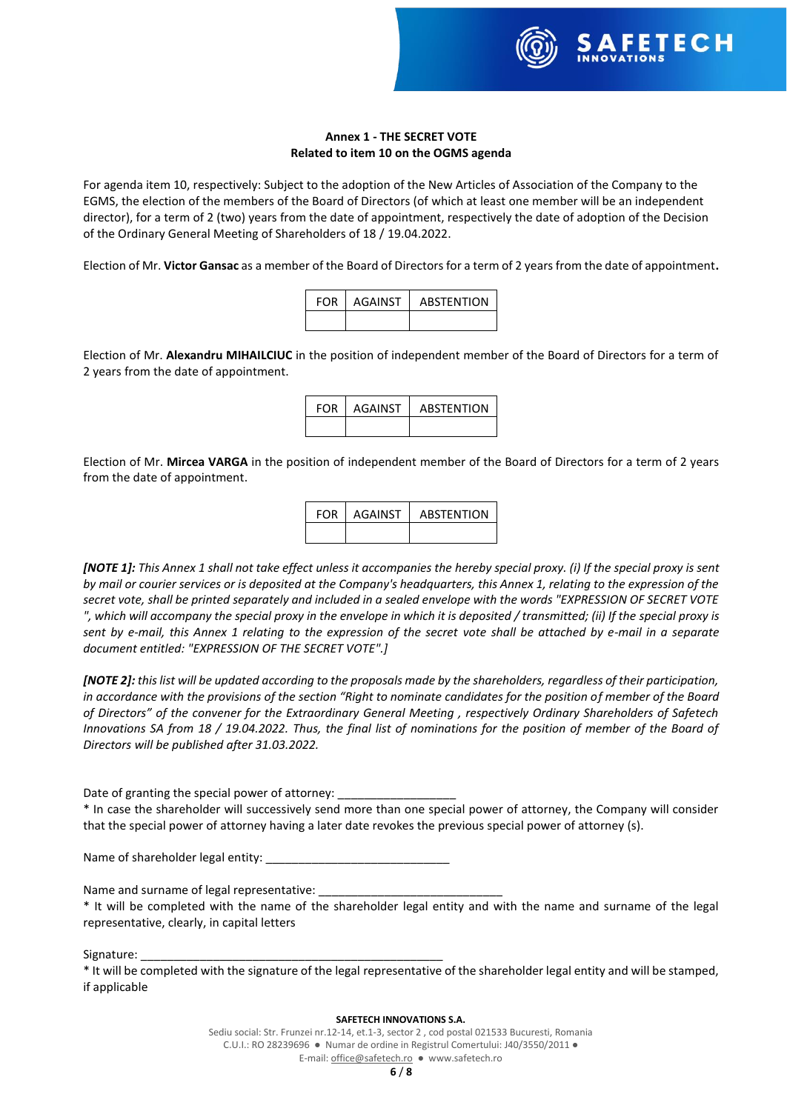

### **Annex 1 - THE SECRET VOTE Related to item 10 on the OGMS agenda**

For agenda item 10, respectively: Subject to the adoption of the New Articles of Association of the Company to the EGMS, the election of the members of the Board of Directors (of which at least one member will be an independent director), for a term of 2 (two) years from the date of appointment, respectively the date of adoption of the Decision of the Ordinary General Meeting of Shareholders of 18 / 19.04.2022.

Election of Mr. **Victor Gansac** as a member of the Board of Directors for a term of 2 years from the date of appointment**.**

| <b>FOR</b> | <b>AGAINST</b> | <b>ABSTENTION</b> |
|------------|----------------|-------------------|
|            |                |                   |

Election of Mr. **Alexandru MIHAILCIUC** in the position of independent member of the Board of Directors for a term of 2 years from the date of appointment.

| <b>FOR</b> | AGAINST | <b>ABSTENTION</b> |
|------------|---------|-------------------|
|            |         |                   |

Election of Mr. **Mircea VARGA** in the position of independent member of the Board of Directors for a term of 2 years from the date of appointment.

| <b>FOR</b> | AGAINST | <b>ABSTENTION</b> |
|------------|---------|-------------------|
|            |         |                   |

*[NOTE 1]: This Annex 1 shall not take effect unless it accompanies the hereby special proxy. (i) If the special proxy is sent by mail or courier services or is deposited at the Company's headquarters, this Annex 1, relating to the expression of the secret vote, shall be printed separately and included in a sealed envelope with the words "EXPRESSION OF SECRET VOTE ", which will accompany the special proxy in the envelope in which it is deposited / transmitted; (ii) If the special proxy is sent by e-mail, this Annex 1 relating to the expression of the secret vote shall be attached by e-mail in a separate document entitled: "EXPRESSION OF THE SECRET VOTE".]*

*[NOTE 2]: this list will be updated according to the proposals made by the shareholders, regardless of their participation, in accordance with the provisions of the section "Right to nominate candidates for the position of member of the Board of Directors" of the convener for the Extraordinary General Meeting , respectively Ordinary Shareholders of Safetech Innovations SA from 18 / 19.04.2022. Thus, the final list of nominations for the position of member of the Board of Directors will be published after 31.03.2022.*

Date of granting the special power of attorney:

\* In case the shareholder will successively send more than one special power of attorney, the Company will consider that the special power of attorney having a later date revokes the previous special power of attorney (s).

Name of shareholder legal entity: \_\_\_\_\_

Name and surname of legal representative:

\* It will be completed with the name of the shareholder legal entity and with the name and surname of the legal representative, clearly, in capital letters

Signature:

### **SAFETECH INNOVATIONS S.A.**

<sup>\*</sup> It will be completed with the signature of the legal representative of the shareholder legal entity and will be stamped, if applicable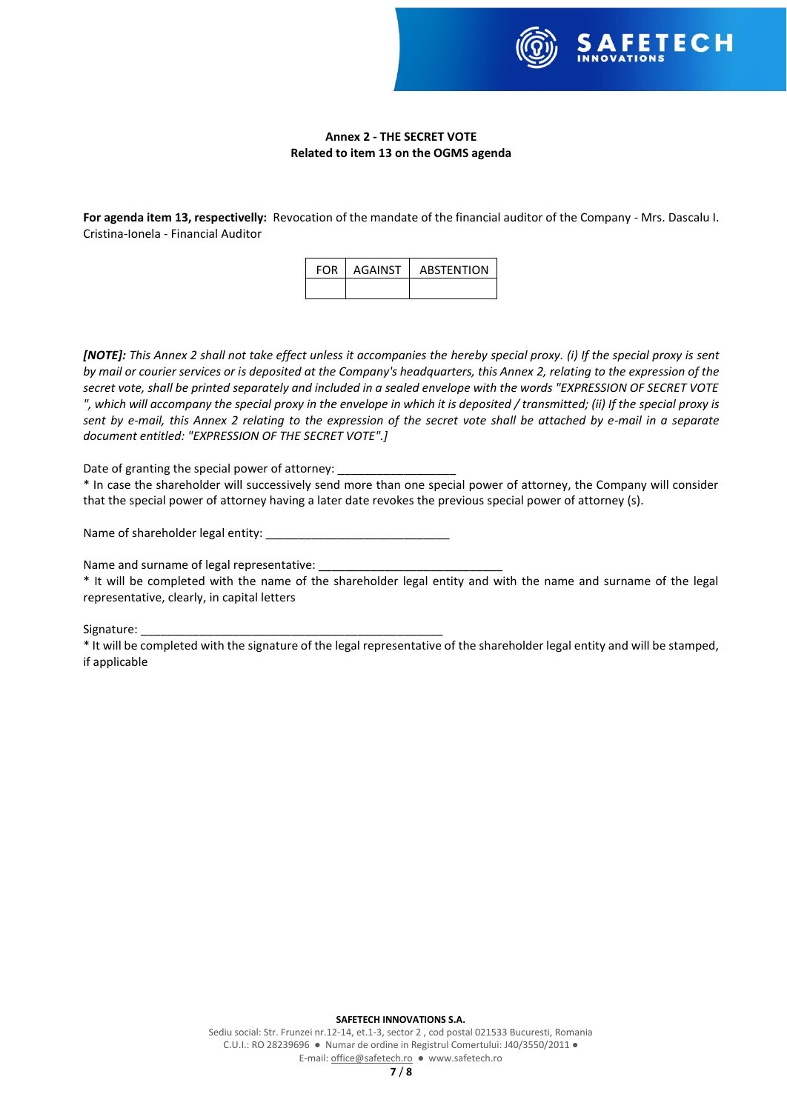

## **Annex 2 - THE SECRET VOTE Related to item 13 on the OGMS agenda**

**For agenda item 13, respectivelly:** Revocation of the mandate of the financial auditor of the Company - Mrs. Dascalu I. Cristina-Ionela - Financial Auditor

| FOR L | AGAINST | <b>ABSTENTION</b> |
|-------|---------|-------------------|
|       |         |                   |

*[NOTE]: This Annex 2 shall not take effect unless it accompanies the hereby special proxy. (i) If the special proxy is sent by mail or courier services or is deposited at the Company's headquarters, this Annex 2, relating to the expression of the secret vote, shall be printed separately and included in a sealed envelope with the words "EXPRESSION OF SECRET VOTE ", which will accompany the special proxy in the envelope in which it is deposited / transmitted; (ii) If the special proxy is sent by e-mail, this Annex 2 relating to the expression of the secret vote shall be attached by e-mail in a separate document entitled: "EXPRESSION OF THE SECRET VOTE".]*

Date of granting the special power of attorney:

\* In case the shareholder will successively send more than one special power of attorney, the Company will consider that the special power of attorney having a later date revokes the previous special power of attorney (s).

Name of shareholder legal entity:

Name and surname of legal representative:

\* It will be completed with the name of the shareholder legal entity and with the name and surname of the legal representative, clearly, in capital letters

Signature:

\* It will be completed with the signature of the legal representative of the shareholder legal entity and will be stamped, if applicable